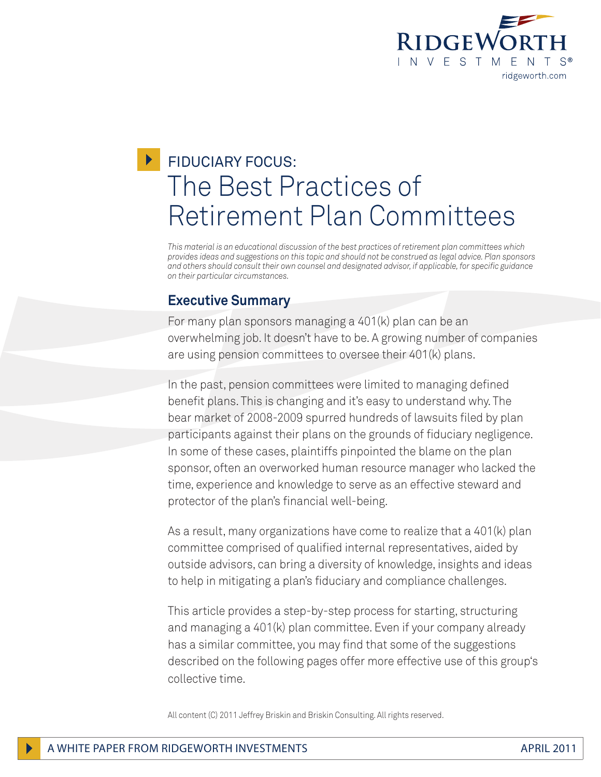

# **FIDUCIARY FOCUS:** The Best Practices of Retirement Plan Committees

*This material is an educational discussion of the best practices of retirement plan committees which provides ideas and suggestions on this topic and should not be construed as legal advice. Plan sponsors and others should consult their own counsel and designated advisor, if applicable, for specific guidance on their particular circumstances.*

## **Executive Summary**

For many plan sponsors managing a 401(k) plan can be an overwhelming job. It doesn't have to be. A growing number of companies are using pension committees to oversee their 401(k) plans.

In the past, pension committees were limited to managing defined benefit plans. This is changing and it's easy to understand why. The bear market of 2008-2009 spurred hundreds of lawsuits filed by plan participants against their plans on the grounds of fiduciary negligence. In some of these cases, plaintiffs pinpointed the blame on the plan sponsor, often an overworked human resource manager who lacked the time, experience and knowledge to serve as an effective steward and protector of the plan's financial well-being.

As a result, many organizations have come to realize that a 401(k) plan committee comprised of qualified internal representatives, aided by outside advisors, can bring a diversity of knowledge, insights and ideas to help in mitigating a plan's fiduciary and compliance challenges.

This article provides a step-by-step process for starting, structuring and managing a 401(k) plan committee. Even if your company already has a similar committee, you may find that some of the suggestions described on the following pages offer more effective use of this group's collective time.

All content (C) 2011 Jeffrey Briskin and Briskin Consulting. All rights reserved.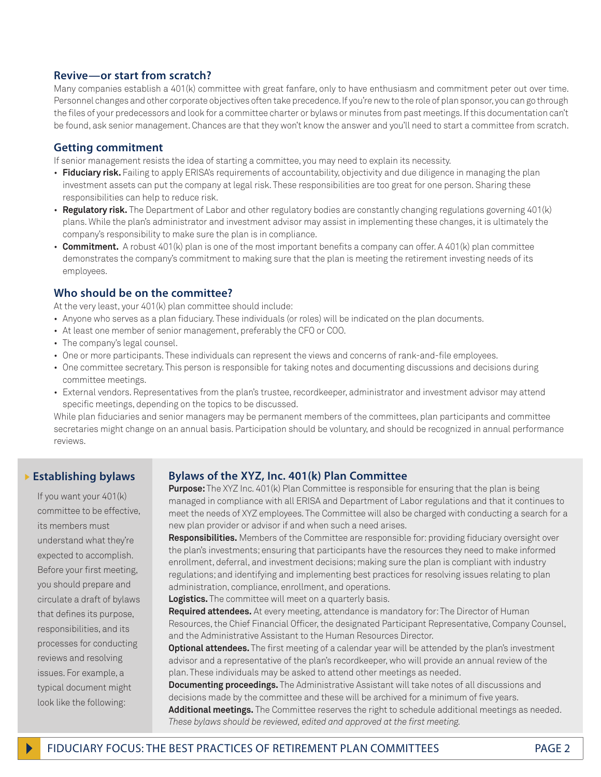#### **Revive—or start from scratch?**

Many companies establish a 401(k) committee with great fanfare, only to have enthusiasm and commitment peter out over time. Personnel changes and other corporate objectives often take precedence. If you're new to the role of plan sponsor, you can go through the files of your predecessors and look for a committee charter or bylaws or minutes from past meetings. If this documentation can't be found, ask senior management. Chances are that they won't know the answer and you'll need to start a committee from scratch.

#### **Getting commitment**

If senior management resists the idea of starting a committee, you may need to explain its necessity.

- **Fiduciary risk.** Failing to apply ERISA's requirements of accountability, objectivity and due diligence in managing the plan investment assets can put the company at legal risk. These responsibilities are too great for one person. Sharing these responsibilities can help to reduce risk.
- **Regulatory risk.** The Department of Labor and other regulatory bodies are constantly changing regulations governing 401(k) plans. While the plan's administrator and investment advisor may assist in implementing these changes, it is ultimately the company's responsibility to make sure the plan is in compliance.
- **Commitment.** A robust 401(k) plan is one of the most important benefits a company can offer. A 401(k) plan committee demonstrates the company's commitment to making sure that the plan is meeting the retirement investing needs of its employees.

#### **Who should be on the committee?**

At the very least, your 401(k) plan committee should include:

- Anyone who serves as a plan fiduciary. These individuals (or roles) will be indicated on the plan documents.
- At least one member of senior management, preferably the CFO or COO.
- The company's legal counsel.
- One or more participants. These individuals can represent the views and concerns of rank-and-file employees.
- One committee secretary. This person is responsible for taking notes and documenting discussions and decisions during committee meetings.
- External vendors. Representatives from the plan's trustee, recordkeeper, administrator and investment advisor may attend specific meetings, depending on the topics to be discussed.

While plan fiduciaries and senior managers may be permanent members of the committees, plan participants and committee secretaries might change on an annual basis. Participation should be voluntary, and should be recognized in annual performance reviews.

#### } **Establishing bylaws**

If you want your 401(k) committee to be effective, its members must understand what they're expected to accomplish. Before your first meeting, you should prepare and circulate a draft of bylaws that defines its purpose, responsibilities, and its processes for conducting reviews and resolving issues. For example, a typical document might look like the following:

#### **Bylaws of the XYZ, Inc. 401(k) Plan Committee**

**Purpose:** The XYZ Inc. 401(k) Plan Committee is responsible for ensuring that the plan is being managed in compliance with all ERISA and Department of Labor regulations and that it continues to meet the needs of XYZ employees. The Committee will also be charged with conducting a search for a new plan provider or advisor if and when such a need arises.

**Responsibilities.** Members of the Committee are responsible for: providing fiduciary oversight over the plan's investments; ensuring that participants have the resources they need to make informed enrollment, deferral, and investment decisions; making sure the plan is compliant with industry regulations; and identifying and implementing best practices for resolving issues relating to plan administration, compliance, enrollment, and operations.

**Logistics.** The committee will meet on a quarterly basis.

**Required attendees.** At every meeting, attendance is mandatory for: The Director of Human Resources, the Chief Financial Officer, the designated Participant Representative, Company Counsel, and the Administrative Assistant to the Human Resources Director.

**Optional attendees.** The first meeting of a calendar year will be attended by the plan's investment advisor and a representative of the plan's recordkeeper, who will provide an annual review of the plan. These individuals may be asked to attend other meetings as needed.

**Documenting proceedings.** The Administrative Assistant will take notes of all discussions and decisions made by the committee and these will be archived for a minimum of five years. **Additional meetings.** The Committee reserves the right to schedule additional meetings as needed. *These bylaws should be reviewed, edited and approved at the first meeting.*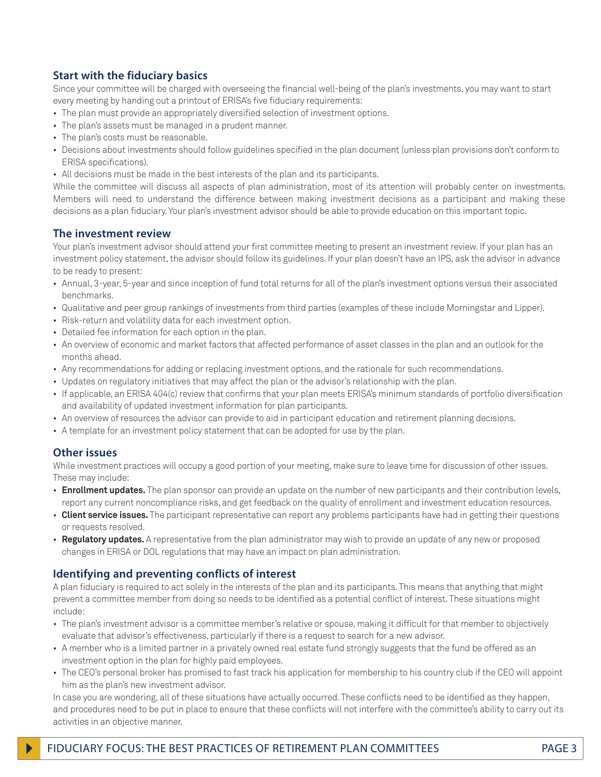### **Start with the fiduciary basics**

Since your committee will be charged with overseeing the financial well-being of the plan's investments, you may want to start every meeting by handing out a printout of ERISA's five fiduciary requirements:

- The plan must provide an appropriately diversified selection of investment options.
- The plan's assets must be managed in a prudent manner.
- The plan's costs must be reasonable.
- Decisions about investments should follow guidelines specified in the plan document (unless plan provisions don't conform to ERISA specifications).
- All decisions must be made in the best interests of the plan and its participants.

While the committee will discuss all aspects of plan administration, most of its attention will probably center on investments. Members will need to understand the difference between making investment decisions as a participant and making these decisions as a plan fiduciary. Your plan's investment advisor should be able to provide education on this important topic.

#### **The investment review**

Your plan's investment advisor should attend your first committee meeting to present an investment review. If your plan has an investment policy statement, the advisor should follow its guidelines. If your plan doesn't have an IPS, ask the advisor in advance to be ready to present:

- Annual, 3-year, 5-year and since inception of fund total returns for all of the plan's investment options versus their associated benchmarks.
- Qualitative and peer group rankings of investments from third parties (examples of these include Morningstar and Lipper).
- Risk-return and volatility data for each investment option.
- Detailed fee information for each option in the plan.
- An overview of economic and market factors that affected performance of asset classes in the plan and an outlook for the months ahead.
- Any recommendations for adding or replacing investment options, and the rationale for such recommendations.
- Updates on regulatory initiatives that may affect the plan or the advisor's relationship with the plan.
- If applicable, an ERISA 404(c) review that confirms that your plan meets ERISA's minimum standards of portfolio diversification and availability of updated investment information for plan participants.
- An overview of resources the advisor can provide to aid in participant education and retirement planning decisions.
- A template for an investment policy statement that can be adopted for use by the plan.

#### **Other issues**

While investment practices will occupy a good portion of your meeting, make sure to leave time for discussion of other issues. These may include:

- **Enrollment updates.** The plan sponsor can provide an update on the number of new participants and their contribution levels, report any current noncompliance risks, and get feedback on the quality of enrollment and investment education resources.
- **Client service issues.** The participant representative can report any problems participants have had in getting their questions or requests resolved.
- **Regulatory updates.** A representative from the plan administrator may wish to provide an update of any new or proposed changes in ERISA or DOL regulations that may have an impact on plan administration.

#### **Identifying and preventing conflicts of interest**

A plan fiduciary is required to act solely in the interests of the plan and its participants. This means that anything that might prevent a committee member from doing so needs to be identified as a potential conflict of interest. These situations might include:

- The plan's investment advisor is a committee member's relative or spouse, making it difficult for that member to objectively evaluate that advisor's effectiveness, particularly if there is a request to search for a new advisor.
- A member who is a limited partner in a privately owned real estate fund strongly suggests that the fund be offered as an investment option in the plan for highly paid employees.
- The CEO's personal broker has promised to fast track his application for membership to his country club if the CEO will appoint him as the plan's new investment advisor.

In case you are wondering, all of these situations have actually occurred. These conflicts need to be identified as they happen, and procedures need to be put in place to ensure that these conflicts will not interfere with the committee's ability to carry out its activities in an objective manner.